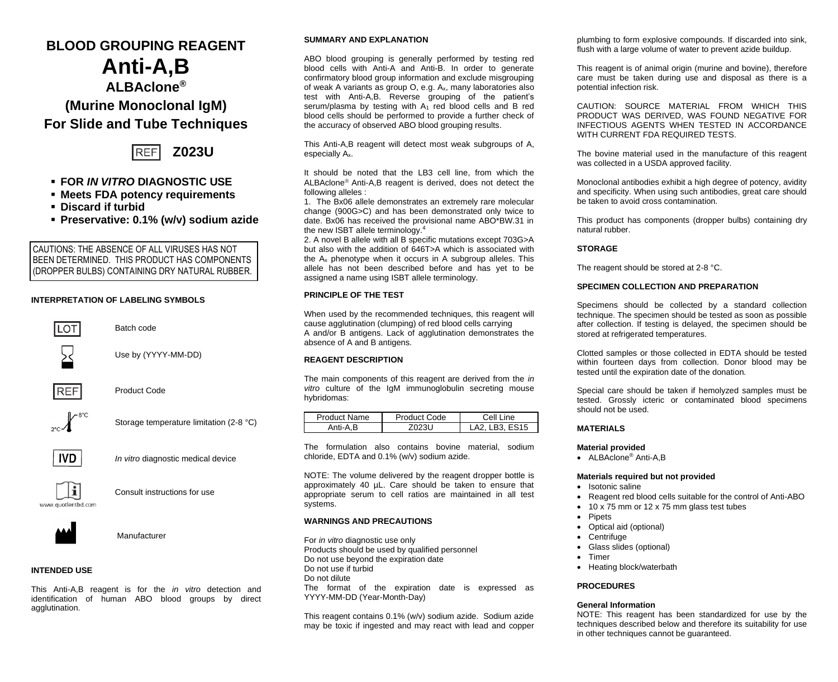# **BLOOD GROUPING REAGENT**

# **Anti-A,B ALBAclone® (Murine Monoclonal IgM) For Slide and Tube Techniques**



- **FOR** *IN VITRO* **DIAGNOSTIC USE**
- **Meets FDA potency requirements**
- **Discard if turbid**
- **Preservative: 0.1% (w/v) sodium azide**

CAUTIONS: THE ABSENCE OF ALL VIRUSES HAS NOT BEEN DETERMINED. THIS PRODUCT HAS COMPONENTS (DROPPER BULBS) CONTAINING DRY NATURAL RUBBER.

# **INTERPRETATION OF LABELING SYMBOLS**



Batch code



Use by (YYYY-MM-DD)



Product Code





Storage temperature limitation (2-8 °C)



*In vitro* diagnostic medical device



Consult instructions for use



Manufacturer

# **INTENDED USE**

This Anti-A,B reagent is for the *in vitro* detection and identification of human ABO blood groups by direct agglutination.

# **SUMMARY AND EXPLANATION**

ABO blood grouping is generally performed by testing red blood cells with Anti-A and Anti-B. In order to generate confirmatory blood group information and exclude misgrouping of weak A variants as group O, e.g. Ax, many laboratories also test with Anti-A,B. Reverse grouping of the patient's serum/plasma by testing with  $A_1$  red blood cells and B red blood cells should be performed to provide a further check of the accuracy of observed ABO blood grouping results.

This Anti-A,B reagent will detect most weak subgroups of A, especially Ax.

It should be noted that the LB3 cell line, from which the ALBAclone<sup>®</sup> Anti-A.B reagent is derived, does not detect the following alleles :

1. The Bx06 allele demonstrates an extremely rare molecular change (900G>C) and has been demonstrated only twice to date. Bx06 has received the provisional name ABO\*BW.31 in the new ISBT allele terminology. 4

2. A novel B allele with all B specific mutations except 703G>A but also with the addition of 646T>A which is associated with the A<sup>x</sup> phenotype when it occurs in A subgroup alleles. This allele has not been described before and has yet to be assigned a name using ISBT allele terminology.

# **PRINCIPLE OF THE TEST**

When used by the recommended techniques, this reagent will cause agglutination (clumping) of red blood cells carrying A and/or B antigens. Lack of agglutination demonstrates the absence of A and B antigens.

#### **REAGENT DESCRIPTION**

The main components of this reagent are derived from the *in vitro* culture of the IgM immunoglobulin secreting mouse hybridomas:

| Product Name | Product Code | Cell Line   |
|--------------|--------------|-------------|
| Anti-A.B     | '023U        | A2 LB3 ES15 |

The formulation also contains bovine material, sodium chloride, EDTA and 0.1% (w/v) sodium azide.

NOTE: The volume delivered by the reagent dropper bottle is approximately 40 µL. Care should be taken to ensure that appropriate serum to cell ratios are maintained in all test systems.

# **WARNINGS AND PRECAUTIONS**

For *in vitro* diagnostic use only Products should be used by qualified personnel Do not use beyond the expiration date Do not use if turbid Do not dilute The format of the expiration date is expressed as YYYY-MM-DD (Year-Month-Day)

This reagent contains 0.1% (w/v) sodium azide. Sodium azide may be toxic if ingested and may react with lead and copper

plumbing to form explosive compounds. If discarded into sink, flush with a large volume of water to prevent azide buildup.

This reagent is of animal origin (murine and bovine), therefore care must be taken during use and disposal as there is a potential infection risk.

CAUTION: SOURCE MATERIAL FROM WHICH THIS PRODUCT WAS DERIVED, WAS FOUND NEGATIVE FOR INFECTIOUS AGENTS WHEN TESTED IN ACCORDANCE WITH CURRENT FDA REQUIRED TESTS.

The bovine material used in the manufacture of this reagent was collected in a USDA approved facility.

Monoclonal antibodies exhibit a high degree of potency, avidity and specificity. When using such antibodies, great care should be taken to avoid cross contamination*.*

This product has components (dropper bulbs) containing dry natural rubber.

#### **STORAGE**

The reagent should be stored at 2-8 °C.

# **SPECIMEN COLLECTION AND PREPARATION**

Specimens should be collected by a standard collection technique. The specimen should be tested as soon as possible after collection. If testing is delayed, the specimen should be stored at refrigerated temperatures.

Clotted samples or those collected in EDTA should be tested within fourteen days from collection. Donor blood may be tested until the expiration date of the donation.

Special care should be taken if hemolyzed samples must be tested. Grossly icteric or contaminated blood specimens should not be used.

# **MATERIALS**

# **Material provided**

• ALBAclone® Anti-A B

#### **Materials required but not provided**

- Isotonic saline
- Reagent red blood cells suitable for the control of Anti-ABO
- 10 x 75 mm or 12 x 75 mm glass test tubes
- Pipets
- Optical aid (optional)
- **Centrifuge**
- Glass slides (optional)
- **Timer**
- Heating block/waterbath

# **PROCEDURES**

# **General Information**

NOTE: This reagent has been standardized for use by the techniques described below and therefore its suitability for use in other techniques cannot be quaranteed.